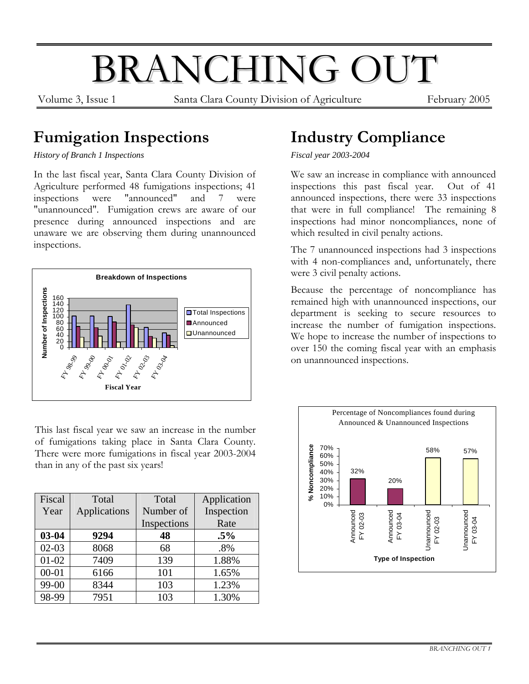# BRANCHING OUT

Volume 3, Issue 1 Santa Clara County Division of Agriculture February 2005

## **Fumigation Inspections**

*History of Branch 1 Inspections*

In the last fiscal year, Santa Clara County Division of Agriculture performed 48 fumigations inspections; 41 inspections were "announced" and 7 were "unannounced". Fumigation crews are aware of our presence during announced inspections and are unaware we are observing them during unannounced inspections.



This last fiscal year we saw an increase in the number of fumigations taking place in Santa Clara County. There were more fumigations in fiscal year 2003-2004 than in any of the past six years!

| Fiscal    | Total        | Total       | Application |
|-----------|--------------|-------------|-------------|
| Year      | Applications | Number of   | Inspection  |
|           |              | Inspections | Rate        |
| $03 - 04$ | 9294         | 48          | $.5\%$      |
| $02 - 03$ | 8068         | 68          | .8%         |
| $01 - 02$ | 7409         | 139         | 1.88%       |
| $00 - 01$ | 6166         | 101         | 1.65%       |
| 99-00     | 8344         | 103         | 1.23%       |
| 98-99     | 7951         | 103         | 1.30%       |

## **Industry Compliance**

*Fiscal year 2003-2004* 

We saw an increase in compliance with announced inspections this past fiscal year. Out of 41 announced inspections, there were 33 inspections that were in full compliance! The remaining 8 inspections had minor noncompliances, none of which resulted in civil penalty actions.

The 7 unannounced inspections had 3 inspections with 4 non-compliances and, unfortunately, there were 3 civil penalty actions.

Because the percentage of noncompliance has remained high with unannounced inspections, our department is seeking to secure resources to increase the number of fumigation inspections. We hope to increase the number of inspections to over 150 the coming fiscal year with an emphasis on unannounced inspections.

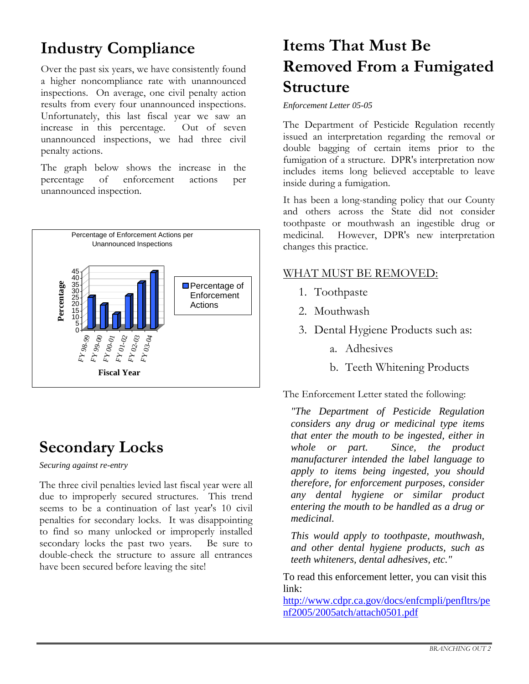## **Industry Compliance**

Over the past six years, we have consistently found a higher noncompliance rate with unannounced inspections. On average, one civil penalty action results from every four unannounced inspections. Unfortunately, this last fiscal year we saw an increase in this percentage. Out of seven unannounced inspections, we had three civil penalty actions.

The graph below shows the increase in the percentage of enforcement actions per unannounced inspection.



### **Secondary Locks**

*Securing against re-entry* 

The three civil penalties levied last fiscal year were all due to improperly secured structures. This trend seems to be a continuation of last year's 10 civil penalties for secondary locks. It was disappointing to find so many unlocked or improperly installed secondary locks the past two years. Be sure to double-check the structure to assure all entrances have been secured before leaving the site!

## **Items That Must Be Removed From a Fumigated Structure**

*Enforcement Letter 05-05* 

The Department of Pesticide Regulation recently issued an interpretation regarding the removal or double bagging of certain items prior to the fumigation of a structure. DPR's interpretation now includes items long believed acceptable to leave inside during a fumigation.

It has been a long-standing policy that our County and others across the State did not consider toothpaste or mouthwash an ingestible drug or medicinal. However, DPR's new interpretation changes this practice.

#### WHAT MUST BE REMOVED:

- 1. Toothpaste
- 2. Mouthwash
- 3. Dental Hygiene Products such as:
	- a. Adhesives
	- b. Teeth Whitening Products

The Enforcement Letter stated the following:

*"The Department of Pesticide Regulation considers any drug or medicinal type items that enter the mouth to be ingested, either in whole or part. Since, the product manufacturer intended the label language to apply to items being ingested, you should therefore, for enforcement purposes, consider any dental hygiene or similar product entering the mouth to be handled as a drug or medicinal.* 

*This would apply to toothpaste, mouthwash, and other dental hygiene products, such as teeth whiteners, dental adhesives, etc."* 

To read this enforcement letter, you can visit this link:

[http://www.cdpr.ca.gov/docs/enfcmpli/penfltrs/pe](http://www.cdpr.ca.gov/docs/enfcmpli/penfltrs/penf2005/2005atch/attach0501.pdf) [nf2005/2005atch/attach0501.pdf](http://www.cdpr.ca.gov/docs/enfcmpli/penfltrs/penf2005/2005atch/attach0501.pdf)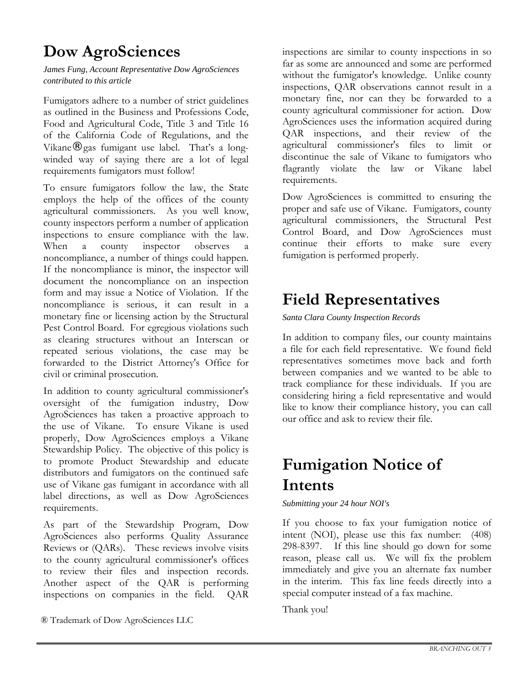## **Dow AgroSciences**

#### *James Fung, Account Representative Dow AgroSciences contributed to this article*

Fumigators adhere to a number of strict guidelines as outlined in the Business and Professions Code, Food and Agricultural Code, Title 3 and Title 16 of the California Code of Regulations, and the Vikane® gas fumigant use label. That's a longwinded way of saying there are a lot of legal requirements fumigators must follow!

To ensure fumigators follow the law, the State employs the help of the offices of the county agricultural commissioners. As you well know, county inspectors perform a number of application inspections to ensure compliance with the law. When a county inspector observes a noncompliance, a number of things could happen. If the noncompliance is minor, the inspector will document the noncompliance on an inspection form and may issue a Notice of Violation. If the noncompliance is serious, it can result in a monetary fine or licensing action by the Structural Pest Control Board. For egregious violations such as clearing structures without an Interscan or repeated serious violations, the case may be forwarded to the District Attorney's Office for civil or criminal prosecution.

In addition to county agricultural commissioner's oversight of the fumigation industry, Dow AgroSciences has taken a proactive approach to the use of Vikane. To ensure Vikane is used properly, Dow AgroSciences employs a Vikane Stewardship Policy. The objective of this policy is to promote Product Stewardship and educate distributors and fumigators on the continued safe use of Vikane gas fumigant in accordance with all label directions, as well as Dow AgroSciences requirements.

As part of the Stewardship Program, Dow AgroSciences also performs Quality Assurance Reviews or (QARs). These reviews involve visits to the county agricultural commissioner's offices to review their files and inspection records. Another aspect of the QAR is performing inspections on companies in the field. QAR

® Trademark of Dow AgroSciences LLC

inspections are similar to county inspections in so far as some are announced and some are performed without the fumigator's knowledge. Unlike county inspections, QAR observations cannot result in a monetary fine, nor can they be forwarded to a county agricultural commissioner for action. Dow AgroSciences uses the information acquired during QAR inspections, and their review of the agricultural commissioner's files to limit or discontinue the sale of Vikane to fumigators who flagrantly violate the law or Vikane label requirements.

Dow AgroSciences is committed to ensuring the proper and safe use of Vikane. Fumigators, county agricultural commissioners, the Structural Pest Control Board, and Dow AgroSciences must continue their efforts to make sure every fumigation is performed properly.

## **Field Representatives**

*Santa Clara County Inspection Records* 

In addition to company files, our county maintains a file for each field representative. We found field representatives sometimes move back and forth between companies and we wanted to be able to track compliance for these individuals. If you are considering hiring a field representative and would like to know their compliance history, you can call our office and ask to review their file.

# **Fumigation Notice of Intents**

*Submitting your 24 hour NOI's* 

If you choose to fax your fumigation notice of intent (NOI), please use this fax number: (408) 298-8397. If this line should go down for some reason, please call us. We will fix the problem immediately and give you an alternate fax number in the interim. This fax line feeds directly into a special computer instead of a fax machine.

Thank you!